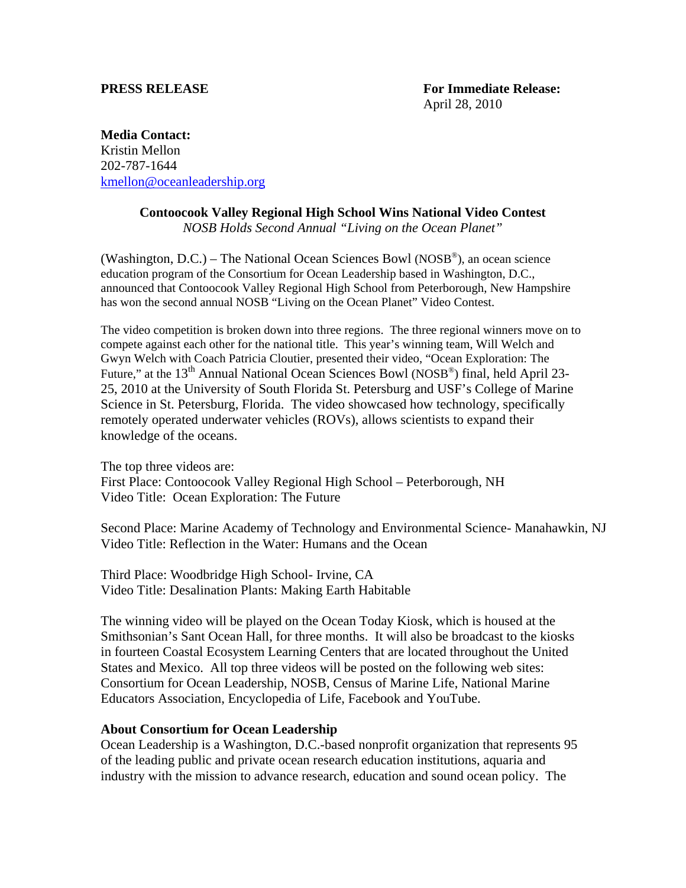**Media Contact:**  Kristin Mellon 202-787-1644 [kmellon@oceanleadership.org](mailto:kmellon@oceanleadership.org)

## **Contoocook Valley Regional High School Wins National Video Contest**

*NOSB Holds Second Annual "Living on the Ocean Planet"* 

(Washington, D.C.) – The National Ocean Sciences Bowl (NOSB®), an ocean science education program of the Consortium for Ocean Leadership based in Washington, D.C., announced that Contoocook Valley Regional High School from Peterborough, New Hampshire has won the second annual NOSB "Living on the Ocean Planet" Video Contest.

The video competition is broken down into three regions. The three regional winners move on to compete against each other for the national title. This year's winning team, Will Welch and Gwyn Welch with Coach Patricia Cloutier, presented their video, "Ocean Exploration: The Future," at the  $13<sup>th</sup>$  Annual National Ocean Sciences Bowl (NOSB<sup>®</sup>) final, held April 23-25, 2010 at the University of South Florida St. Petersburg and USF's College of Marine Science in St. Petersburg, Florida. The video showcased how technology, specifically remotely operated underwater vehicles (ROVs), allows scientists to expand their knowledge of the oceans.

The top three videos are: First Place: Contoocook Valley Regional High School – Peterborough, NH Video Title: Ocean Exploration: The Future

Second Place: Marine Academy of Technology and Environmental Science- Manahawkin, NJ Video Title: Reflection in the Water: Humans and the Ocean

Third Place: Woodbridge High School- Irvine, CA Video Title: Desalination Plants: Making Earth Habitable

The winning video will be played on the Ocean Today Kiosk, which is housed at the Smithsonian's Sant Ocean Hall, for three months. It will also be broadcast to the kiosks in fourteen Coastal Ecosystem Learning Centers that are located throughout the United States and Mexico. All top three videos will be posted on the following web sites: Consortium for Ocean Leadership, NOSB, Census of Marine Life, National Marine Educators Association, Encyclopedia of Life, Facebook and YouTube.

## **About Consortium for Ocean Leadership**

Ocean Leadership is a Washington, D.C.-based nonprofit organization that represents 95 of the leading public and private ocean research education institutions, aquaria and industry with the mission to advance research, education and sound ocean policy. The